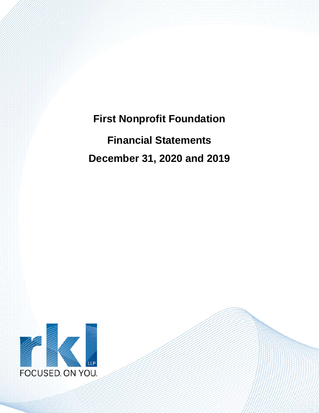**First Nonprofit Foundation Financial Statements December 31, 2020 and 2019**

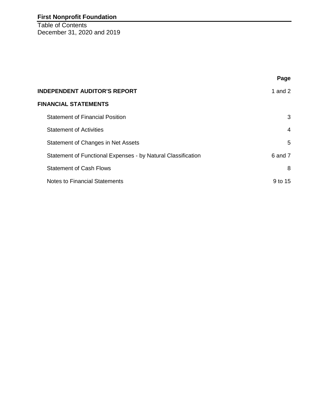Table of Contents December 31, 2020 and 2019

|                                                              | Page      |
|--------------------------------------------------------------|-----------|
| <b>INDEPENDENT AUDITOR'S REPORT</b>                          | 1 and $2$ |
| <b>FINANCIAL STATEMENTS</b>                                  |           |
| <b>Statement of Financial Position</b>                       | 3         |
| <b>Statement of Activities</b>                               | 4         |
| Statement of Changes in Net Assets                           | 5         |
| Statement of Functional Expenses - by Natural Classification | 6 and 7   |
| <b>Statement of Cash Flows</b>                               | 8         |
| <b>Notes to Financial Statements</b>                         | $9$ to 15 |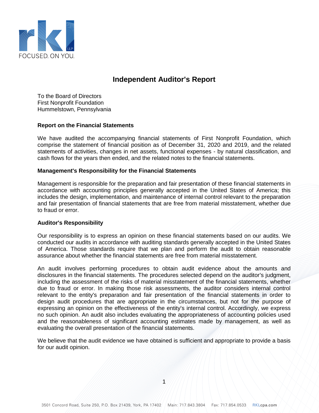

# **Independent Auditor's Report**

To the Board of Directors First Nonprofit Foundation Hummelstown, Pennsylvania

#### **Report on the Financial Statements**

We have audited the accompanying financial statements of First Nonprofit Foundation, which comprise the statement of financial position as of December 31, 2020 and 2019, and the related statements of activities, changes in net assets, functional expenses - by natural classification, and cash flows for the years then ended, and the related notes to the financial statements.

#### **Management's Responsibility for the Financial Statements**

Management is responsible for the preparation and fair presentation of these financial statements in accordance with accounting principles generally accepted in the United States of America; this includes the design, implementation, and maintenance of internal control relevant to the preparation and fair presentation of financial statements that are free from material misstatement, whether due to fraud or error.

#### **Auditor's Responsibility**

Our responsibility is to express an opinion on these financial statements based on our audits. We conducted our audits in accordance with auditing standards generally accepted in the United States of America. Those standards require that we plan and perform the audit to obtain reasonable assurance about whether the financial statements are free from material misstatement.

An audit involves performing procedures to obtain audit evidence about the amounts and disclosures in the financial statements. The procedures selected depend on the auditor's judgment, including the assessment of the risks of material misstatement of the financial statements, whether due to fraud or error. In making those risk assessments, the auditor considers internal control relevant to the entity's preparation and fair presentation of the financial statements in order to design audit procedures that are appropriate in the circumstances, but not for the purpose of expressing an opinion on the effectiveness of the entity's internal control. Accordingly, we express no such opinion. An audit also includes evaluating the appropriateness of accounting policies used and the reasonableness of significant accounting estimates made by management, as well as evaluating the overall presentation of the financial statements.

We believe that the audit evidence we have obtained is sufficient and appropriate to provide a basis for our audit opinion.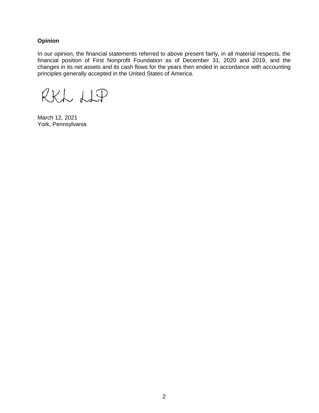**Opinion**

In our opinion, the financial statements referred to above present fairly, in all material respects, the financial position of First Nonprofit Foundation as of December 31, 2020 and 2019, and the changes in its net assets and its cash flows for the years then ended in accordance with accounting principles generally accepted in the United States of America.

RKL LLP

March 12, 2021 York, Pennsylvania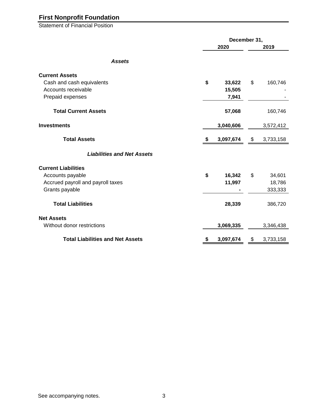Statement of Financial Position

|                                                                                                       |    | December 31,<br>2020<br>2019<br>\$<br>33,622<br>15,505<br>7,941 |    |                             |  |  |  |
|-------------------------------------------------------------------------------------------------------|----|-----------------------------------------------------------------|----|-----------------------------|--|--|--|
|                                                                                                       |    |                                                                 |    |                             |  |  |  |
| <b>Assets</b>                                                                                         |    |                                                                 |    |                             |  |  |  |
| <b>Current Assets</b><br>Cash and cash equivalents<br>Accounts receivable<br>Prepaid expenses         | \$ |                                                                 |    | 160,746                     |  |  |  |
| <b>Total Current Assets</b>                                                                           |    | 57,068                                                          |    | 160,746                     |  |  |  |
| <b>Investments</b>                                                                                    |    | 3,040,606                                                       |    | 3,572,412                   |  |  |  |
| <b>Total Assets</b>                                                                                   | S. | 3,097,674                                                       | \$ | 3,733,158                   |  |  |  |
| <b>Liabilities and Net Assets</b>                                                                     |    |                                                                 |    |                             |  |  |  |
| <b>Current Liabilities</b><br>Accounts payable<br>Accrued payroll and payroll taxes<br>Grants payable | \$ | 16,342<br>11,997                                                | \$ | 34,601<br>18,786<br>333,333 |  |  |  |
| <b>Total Liabilities</b>                                                                              |    | 28,339                                                          |    | 386,720                     |  |  |  |
| <b>Net Assets</b><br>Without donor restrictions                                                       |    | 3,069,335                                                       |    | 3,346,438                   |  |  |  |
| <b>Total Liabilities and Net Assets</b>                                                               | \$ | 3,097,674                                                       | \$ | 3,733,158                   |  |  |  |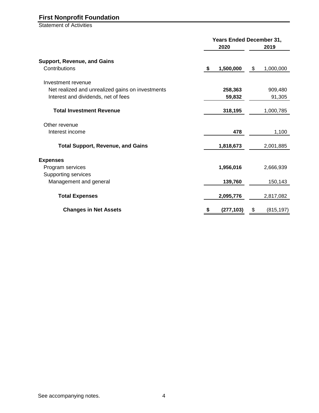Statement of Activities

|                                                  | 2020             | Years Ended December 31,<br>2019 |
|--------------------------------------------------|------------------|----------------------------------|
| <b>Support, Revenue, and Gains</b>               |                  |                                  |
| Contributions                                    | 1,500,000<br>\$  | 1,000,000<br>\$                  |
| Investment revenue                               |                  |                                  |
| Net realized and unrealized gains on investments | 258,363          | 909,480                          |
| Interest and dividends, net of fees              | 59,832           | 91,305                           |
| <b>Total Investment Revenue</b>                  | 318,195          | 1,000,785                        |
| Other revenue                                    |                  |                                  |
| Interest income                                  | 478              | 1,100                            |
| <b>Total Support, Revenue, and Gains</b>         | 1,818,673        | 2,001,885                        |
| <b>Expenses</b>                                  |                  |                                  |
| Program services                                 | 1,956,016        | 2,666,939                        |
| Supporting services                              |                  |                                  |
| Management and general                           | 139,760          | 150,143                          |
| <b>Total Expenses</b>                            | 2,095,776        | 2,817,082                        |
| <b>Changes in Net Assets</b>                     | (277, 103)<br>\$ | (815, 197)<br>\$                 |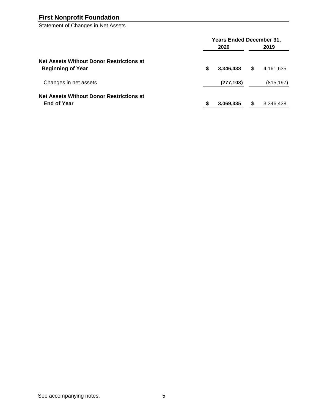Statement of Changes in Net Assets

|                                                                             |    | <b>Years Ended December 31,</b><br>2020 |    |            |  |  |  |  |  |
|-----------------------------------------------------------------------------|----|-----------------------------------------|----|------------|--|--|--|--|--|
|                                                                             |    | 2019                                    |    |            |  |  |  |  |  |
| <b>Net Assets Without Donor Restrictions at</b><br><b>Beginning of Year</b> | \$ | 3,346,438                               | \$ | 4,161,635  |  |  |  |  |  |
| Changes in net assets                                                       |    | (277, 103)                              |    | (815, 197) |  |  |  |  |  |
| <b>Net Assets Without Donor Restrictions at</b><br><b>End of Year</b>       | S. | 3,069,335                               | S  | 3,346,438  |  |  |  |  |  |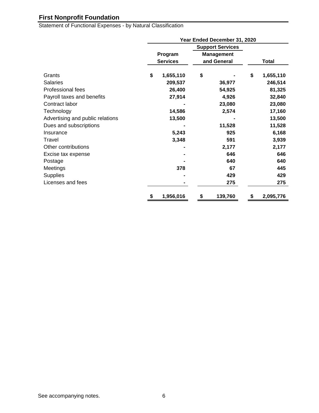Statement of Functional Expenses - by Natural Classification

|                                  | Year Ended December 31, 2020 |                 |    |                         |    |              |  |  |  |
|----------------------------------|------------------------------|-----------------|----|-------------------------|----|--------------|--|--|--|
|                                  |                              |                 |    | <b>Support Services</b> |    |              |  |  |  |
|                                  |                              | Program         |    | <b>Management</b>       |    |              |  |  |  |
|                                  |                              | <b>Services</b> |    | and General             |    | <b>Total</b> |  |  |  |
| Grants                           | \$                           | 1,655,110       | \$ |                         | \$ | 1,655,110    |  |  |  |
| <b>Salaries</b>                  |                              | 209,537         |    | 36,977                  |    | 246,514      |  |  |  |
| <b>Professional fees</b>         |                              | 26,400          |    | 54,925                  |    | 81,325       |  |  |  |
| Payroll taxes and benefits       |                              | 27,914          |    | 4,926                   |    | 32,840       |  |  |  |
| Contract labor                   |                              |                 |    | 23,080                  |    | 23,080       |  |  |  |
| Technology                       |                              | 14,586          |    | 2,574                   |    | 17,160       |  |  |  |
| Advertising and public relations |                              | 13,500          |    |                         |    | 13,500       |  |  |  |
| Dues and subscriptions           |                              |                 |    | 11,528                  |    | 11,528       |  |  |  |
| Insurance                        |                              | 5,243           |    | 925                     |    | 6,168        |  |  |  |
| Travel                           |                              | 3,348           |    | 591                     |    | 3,939        |  |  |  |
| Other contributions              |                              |                 |    | 2,177                   |    | 2,177        |  |  |  |
| Excise tax expense               |                              |                 |    | 646                     |    | 646          |  |  |  |
| Postage                          |                              |                 |    | 640                     |    | 640          |  |  |  |
| Meetings                         |                              | 378             |    | 67                      |    | 445          |  |  |  |
| <b>Supplies</b>                  |                              |                 |    | 429                     |    | 429          |  |  |  |
| Licenses and fees                |                              |                 |    | 275                     |    | 275          |  |  |  |
|                                  | \$                           | 1,956,016       | \$ | 139,760                 | \$ | 2,095,776    |  |  |  |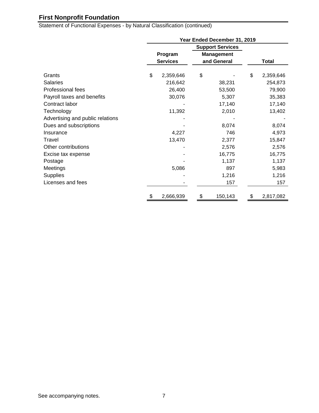Statement of Functional Expenses - by Natural Classification (continued)

|                                  | Year Ended December 31, 2019 |                 |    |                   |    |              |  |  |  |  |
|----------------------------------|------------------------------|-----------------|----|-------------------|----|--------------|--|--|--|--|
|                                  |                              |                 |    |                   |    |              |  |  |  |  |
|                                  |                              | Program         |    | <b>Management</b> |    |              |  |  |  |  |
|                                  |                              | <b>Services</b> |    | and General       |    | <b>Total</b> |  |  |  |  |
| Grants                           | \$                           | 2,359,646       | \$ |                   | \$ | 2,359,646    |  |  |  |  |
| <b>Salaries</b>                  |                              | 216,642         |    | 38,231            |    | 254,873      |  |  |  |  |
| <b>Professional fees</b>         |                              | 26,400          |    | 53,500            |    | 79,900       |  |  |  |  |
| Payroll taxes and benefits       |                              | 30,076          |    | 5,307             |    | 35,383       |  |  |  |  |
| Contract labor                   |                              |                 |    | 17,140            |    | 17,140       |  |  |  |  |
| Technology                       |                              | 11,392          |    | 2,010             |    | 13,402       |  |  |  |  |
| Advertising and public relations |                              |                 |    |                   |    |              |  |  |  |  |
| Dues and subscriptions           |                              |                 |    | 8,074             |    | 8,074        |  |  |  |  |
| Insurance                        |                              | 4,227           |    | 746               |    | 4,973        |  |  |  |  |
| Travel                           |                              | 13,470          |    | 2,377             |    | 15,847       |  |  |  |  |
| Other contributions              |                              |                 |    | 2,576             |    | 2,576        |  |  |  |  |
| Excise tax expense               |                              |                 |    | 16,775            |    | 16,775       |  |  |  |  |
| Postage                          |                              |                 |    | 1,137             |    | 1,137        |  |  |  |  |
| Meetings                         |                              | 5,086           |    | 897               |    | 5,983        |  |  |  |  |
| <b>Supplies</b>                  |                              |                 |    | 1,216             |    | 1,216        |  |  |  |  |
| Licenses and fees                |                              |                 |    | 157               |    | 157          |  |  |  |  |
|                                  | \$                           | 2,666,939       | \$ | 150,143           | \$ | 2,817,082    |  |  |  |  |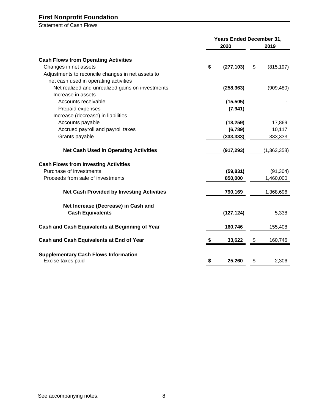Statement of Cash Flows

|                                                   | <b>Years Ended December 31,</b> |            |    |             |  |
|---------------------------------------------------|---------------------------------|------------|----|-------------|--|
|                                                   |                                 | 2020       |    | 2019        |  |
| <b>Cash Flows from Operating Activities</b>       |                                 |            |    |             |  |
| Changes in net assets                             | \$                              | (277, 103) | \$ | (815, 197)  |  |
| Adjustments to reconcile changes in net assets to |                                 |            |    |             |  |
| net cash used in operating activities             |                                 |            |    |             |  |
| Net realized and unrealized gains on investments  |                                 | (258, 363) |    | (909, 480)  |  |
| Increase in assets                                |                                 |            |    |             |  |
| Accounts receivable                               |                                 | (15, 505)  |    |             |  |
| Prepaid expenses                                  |                                 | (7, 941)   |    |             |  |
| Increase (decrease) in liabilities                |                                 |            |    |             |  |
| Accounts payable                                  |                                 | (18, 259)  |    | 17,869      |  |
| Accrued payroll and payroll taxes                 |                                 | (6,789)    |    | 10,117      |  |
| Grants payable                                    |                                 | (333, 333) |    | 333,333     |  |
|                                                   |                                 |            |    |             |  |
| <b>Net Cash Used in Operating Activities</b>      |                                 | (917, 293) |    | (1,363,358) |  |
| <b>Cash Flows from Investing Activities</b>       |                                 |            |    |             |  |
| Purchase of investments                           |                                 | (59, 831)  |    | (91, 304)   |  |
| Proceeds from sale of investments                 |                                 | 850,000    |    | 1,460,000   |  |
| <b>Net Cash Provided by Investing Activities</b>  |                                 | 790,169    |    | 1,368,696   |  |
|                                                   |                                 |            |    |             |  |
| Net Increase (Decrease) in Cash and               |                                 |            |    |             |  |
| <b>Cash Equivalents</b>                           |                                 | (127, 124) |    | 5,338       |  |
| Cash and Cash Equivalents at Beginning of Year    |                                 | 160,746    |    | 155,408     |  |
| Cash and Cash Equivalents at End of Year          |                                 | 33,622     | \$ | 160,746     |  |
|                                                   |                                 |            |    |             |  |
| <b>Supplementary Cash Flows Information</b>       |                                 |            |    |             |  |
| Excise taxes paid                                 | \$                              | 25,260     | \$ | 2,306       |  |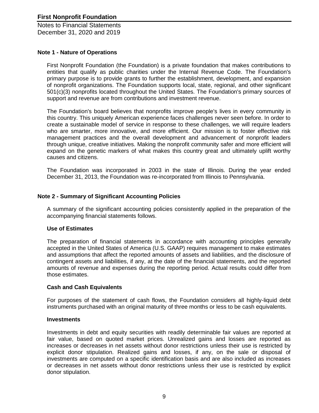### **Note 1 - Nature of Operations**

First Nonprofit Foundation (the Foundation) is a private foundation that makes contributions to entities that qualify as public charities under the Internal Revenue Code. The Foundation's primary purpose is to provide grants to further the establishment, development, and expansion of nonprofit organizations. The Foundation supports local, state, regional, and other significant 501(c)(3) nonprofits located throughout the United States. The Foundation's primary sources of support and revenue are from contributions and investment revenue.

The Foundation's board believes that nonprofits improve people's lives in every community in this country. This uniquely American experience faces challenges never seen before. In order to create a sustainable model of service in response to these challenges, we will require leaders who are smarter, more innovative, and more efficient. Our mission is to foster effective risk management practices and the overall development and advancement of nonprofit leaders through unique, creative initiatives. Making the nonprofit community safer and more efficient will expand on the genetic markers of what makes this country great and ultimately uplift worthy causes and citizens.

The Foundation was incorporated in 2003 in the state of Illinois. During the year ended December 31, 2013, the Foundation was re-incorporated from Illinois to Pennsylvania.

## **Note 2 - Summary of Significant Accounting Policies**

A summary of the significant accounting policies consistently applied in the preparation of the accompanying financial statements follows.

#### **Use of Estimates**

The preparation of financial statements in accordance with accounting principles generally accepted in the United States of America (U.S. GAAP) requires management to make estimates and assumptions that affect the reported amounts of assets and liabilities, and the disclosure of contingent assets and liabilities, if any, at the date of the financial statements, and the reported amounts of revenue and expenses during the reporting period. Actual results could differ from those estimates.

#### **Cash and Cash Equivalents**

For purposes of the statement of cash flows, the Foundation considers all highly-liquid debt instruments purchased with an original maturity of three months or less to be cash equivalents.

#### **Investments**

Investments in debt and equity securities with readily determinable fair values are reported at fair value, based on quoted market prices. Unrealized gains and losses are reported as increases or decreases in net assets without donor restrictions unless their use is restricted by explicit donor stipulation. Realized gains and losses, if any, on the sale or disposal of investments are computed on a specific identification basis and are also included as increases or decreases in net assets without donor restrictions unless their use is restricted by explicit donor stipulation.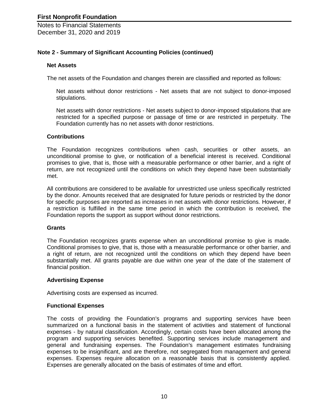### **Note 2 - Summary of Significant Accounting Policies (continued)**

#### **Net Assets**

The net assets of the Foundation and changes therein are classified and reported as follows:

Net assets without donor restrictions - Net assets that are not subject to donor-imposed stipulations.

Net assets with donor restrictions - Net assets subject to donor-imposed stipulations that are restricted for a specified purpose or passage of time or are restricted in perpetuity. The Foundation currently has no net assets with donor restrictions.

#### **Contributions**

The Foundation recognizes contributions when cash, securities or other assets, an unconditional promise to give, or notification of a beneficial interest is received. Conditional promises to give, that is, those with a measurable performance or other barrier, and a right of return, are not recognized until the conditions on which they depend have been substantially met.

All contributions are considered to be available for unrestricted use unless specifically restricted by the donor. Amounts received that are designated for future periods or restricted by the donor for specific purposes are reported as increases in net assets with donor restrictions. However, if a restriction is fulfilled in the same time period in which the contribution is received, the Foundation reports the support as support without donor restrictions.

#### **Grants**

The Foundation recognizes grants expense when an unconditional promise to give is made. Conditional promises to give, that is, those with a measurable performance or other barrier, and a right of return, are not recognized until the conditions on which they depend have been substantially met. All grants payable are due within one year of the date of the statement of financial position.

#### **Advertising Expense**

Advertising costs are expensed as incurred.

#### **Functional Expenses**

The costs of providing the Foundation's programs and supporting services have been summarized on a functional basis in the statement of activities and statement of functional expenses - by natural classification. Accordingly, certain costs have been allocated among the program and supporting services benefited. Supporting services include management and general and fundraising expenses. The Foundation's management estimates fundraising expenses to be insignificant, and are therefore, not segregated from management and general expenses. Expenses require allocation on a reasonable basis that is consistently applied. Expenses are generally allocated on the basis of estimates of time and effort.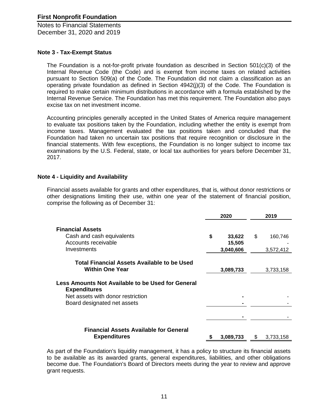### **Note 3 - Tax-Exempt Status**

The Foundation is a not-for-profit private foundation as described in Section  $501(c)(3)$  of the Internal Revenue Code (the Code) and is exempt from income taxes on related activities pursuant to Section 509(a) of the Code. The Foundation did not claim a classification as an operating private foundation as defined in Section 4942(j)(3) of the Code. The Foundation is required to make certain minimum distributions in accordance with a formula established by the Internal Revenue Service. The Foundation has met this requirement. The Foundation also pays excise tax on net investment income.

Accounting principles generally accepted in the United States of America require management to evaluate tax positions taken by the Foundation, including whether the entity is exempt from income taxes. Management evaluated the tax positions taken and concluded that the Foundation had taken no uncertain tax positions that require recognition or disclosure in the financial statements. With few exceptions, the Foundation is no longer subject to income tax examinations by the U.S. Federal, state, or local tax authorities for years before December 31, 2017.

### **Note 4 - Liquidity and Availability**

Financial assets available for grants and other expenditures, that is, without donor restrictions or other designations limiting their use, within one year of the statement of financial position, comprise the following as of December 31:

|                                                                                                                                              | 2020                                | 2019 |                      |  |
|----------------------------------------------------------------------------------------------------------------------------------------------|-------------------------------------|------|----------------------|--|
| <b>Financial Assets</b><br>Cash and cash equivalents<br>Accounts receivable<br>Investments                                                   | \$<br>33,622<br>15,505<br>3,040,606 | \$   | 160,746<br>3,572,412 |  |
| Total Financial Assets Available to be Used<br><b>Within One Year</b>                                                                        | 3,089,733                           |      | 3,733,158            |  |
| Less Amounts Not Available to be Used for General<br><b>Expenditures</b><br>Net assets with donor restriction<br>Board designated net assets |                                     |      |                      |  |
|                                                                                                                                              |                                     |      |                      |  |
| <b>Financial Assets Available for General</b><br><b>Expenditures</b>                                                                         | 3,089,733                           | \$   | 3,733,158            |  |

As part of the Foundation's liquidity management, it has a policy to structure its financial assets to be available as its awarded grants, general expenditures, liabilities, and other obligations become due. The Foundation's Board of Directors meets during the year to review and approve grant requests.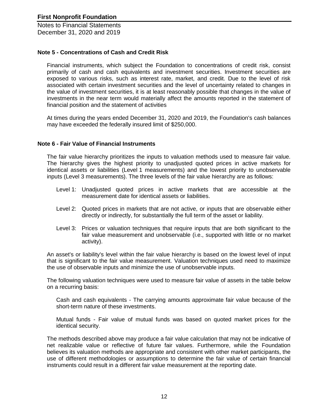### **Note 5 - Concentrations of Cash and Credit Risk**

Financial instruments, which subject the Foundation to concentrations of credit risk, consist primarily of cash and cash equivalents and investment securities. Investment securities are exposed to various risks, such as interest rate, market, and credit. Due to the level of risk associated with certain investment securities and the level of uncertainty related to changes in the value of investment securities, it is at least reasonably possible that changes in the value of investments in the near term would materially affect the amounts reported in the statement of financial position and the statement of activities

At times during the years ended December 31, 2020 and 2019, the Foundation's cash balances may have exceeded the federally insured limit of \$250,000.

### **Note 6 - Fair Value of Financial Instruments**

The fair value hierarchy prioritizes the inputs to valuation methods used to measure fair value. The hierarchy gives the highest priority to unadjusted quoted prices in active markets for identical assets or liabilities (Level 1 measurements) and the lowest priority to unobservable inputs (Level 3 measurements). The three levels of the fair value hierarchy are as follows:

- Level 1: Unadjusted quoted prices in active markets that are accessible at the measurement date for identical assets or liabilities.
- Level 2: Quoted prices in markets that are not active, or inputs that are observable either directly or indirectly, for substantially the full term of the asset or liability.
- Level 3: Prices or valuation techniques that require inputs that are both significant to the fair value measurement and unobservable (i.e., supported with little or no market activity).

An asset's or liability's level within the fair value hierarchy is based on the lowest level of input that is significant to the fair value measurement. Valuation techniques used need to maximize the use of observable inputs and minimize the use of unobservable inputs.

The following valuation techniques were used to measure fair value of assets in the table below on a recurring basis:

Cash and cash equivalents - The carrying amounts approximate fair value because of the short-term nature of these investments.

Mutual funds - Fair value of mutual funds was based on quoted market prices for the identical security.

The methods described above may produce a fair value calculation that may not be indicative of net realizable value or reflective of future fair values. Furthermore, while the Foundation believes its valuation methods are appropriate and consistent with other market participants, the use of different methodologies or assumptions to determine the fair value of certain financial instruments could result in a different fair value measurement at the reporting date.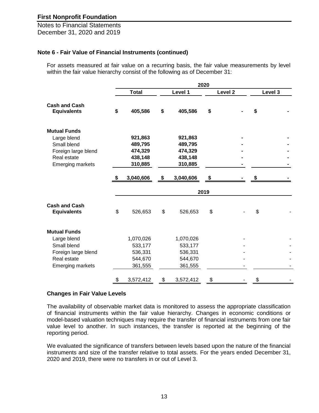Notes to Financial Statements December 31, 2020 and 2019

#### **Note 6 - Fair Value of Financial Instruments (continued)**

For assets measured at fair value on a recurring basis, the fair value measurements by level within the fair value hierarchy consist of the following as of December 31:

|                                            | 2020 |              |    |           |      |                    |         |  |  |
|--------------------------------------------|------|--------------|----|-----------|------|--------------------|---------|--|--|
|                                            |      | <b>Total</b> |    | Level 1   |      | Level <sub>2</sub> | Level 3 |  |  |
| <b>Cash and Cash</b><br><b>Equivalents</b> | \$   | 405,586      | \$ | 405,586   | \$   |                    | \$      |  |  |
| <b>Mutual Funds</b>                        |      |              |    |           |      |                    |         |  |  |
| Large blend                                |      | 921,863      |    | 921,863   |      |                    |         |  |  |
| Small blend                                |      | 489,795      |    | 489,795   |      |                    |         |  |  |
| Foreign large blend                        |      | 474,329      |    | 474,329   |      |                    |         |  |  |
| Real estate                                |      | 438,148      |    | 438,148   |      |                    |         |  |  |
| <b>Emerging markets</b>                    |      | 310,885      |    | 310,885   |      |                    |         |  |  |
|                                            |      | 3,040,606    | \$ | 3,040,606 | \$   |                    |         |  |  |
|                                            |      |              |    |           | 2019 |                    |         |  |  |
| <b>Cash and Cash</b><br><b>Equivalents</b> | \$   | 526,653      | \$ | 526,653   | \$   |                    | \$      |  |  |
|                                            |      |              |    |           |      |                    |         |  |  |
| <b>Mutual Funds</b>                        |      |              |    |           |      |                    |         |  |  |
| Large blend                                |      | 1,070,026    |    | 1,070,026 |      |                    |         |  |  |
| Small blend                                |      | 533,177      |    | 533,177   |      |                    |         |  |  |
| Foreign large blend                        |      | 536,331      |    | 536,331   |      |                    |         |  |  |
| Real estate                                |      | 544,670      |    | 544,670   |      |                    |         |  |  |
| <b>Emerging markets</b>                    |      | 361,555      |    | 361,555   |      |                    |         |  |  |
|                                            | \$   | 3,572,412    | \$ | 3,572,412 | \$   |                    | \$      |  |  |

#### **Changes in Fair Value Levels**

The availability of observable market data is monitored to assess the appropriate classification of financial instruments within the fair value hierarchy. Changes in economic conditions or model-based valuation techniques may require the transfer of financial instruments from one fair value level to another. In such instances, the transfer is reported at the beginning of the reporting period.

We evaluated the significance of transfers between levels based upon the nature of the financial instruments and size of the transfer relative to total assets. For the years ended December 31, 2020 and 2019, there were no transfers in or out of Level 3.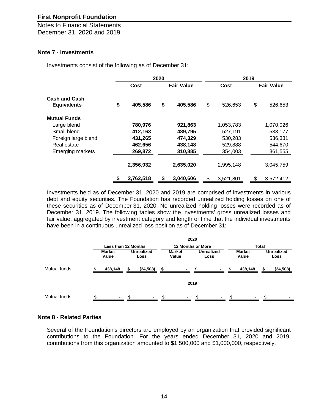Notes to Financial Statements December 31, 2020 and 2019

#### **Note 7 - Investments**

Investments consist of the following as of December 31:

|                                            |                 | 2020              |           | 2019 |           |    |                   |  |
|--------------------------------------------|-----------------|-------------------|-----------|------|-----------|----|-------------------|--|
|                                            | Cost            | <b>Fair Value</b> |           |      | Cost      |    | <b>Fair Value</b> |  |
| <b>Cash and Cash</b><br><b>Equivalents</b> | \$<br>405,586   | \$                | 405,586   | \$   | 526,653   | \$ | 526,653           |  |
| Mutual Funds                               |                 |                   |           |      |           |    |                   |  |
| Large blend                                | 780,976         |                   | 921,863   |      | 1,053,783 |    | 1,070,026         |  |
| Small blend                                | 412,163         |                   | 489,795   |      | 527,191   |    | 533,177           |  |
| Foreign large blend                        | 431,265         |                   | 474,329   |      | 530,283   |    | 536,331           |  |
| Real estate                                | 462,656         |                   | 438,148   |      | 529,888   |    | 544,670           |  |
| <b>Emerging markets</b>                    | 269,872         |                   | 310,885   |      | 354,003   |    | 361,555           |  |
|                                            | 2,356,932       |                   | 2,635,020 |      | 2,995,148 |    | 3,045,759         |  |
|                                            | \$<br>2,762,518 | \$                | 3,040,606 | \$   | 3,521,801 | \$ | 3,572,412         |  |

Investments held as of December 31, 2020 and 2019 are comprised of investments in various debt and equity securities. The Foundation has recorded unrealized holding losses on one of these securities as of December 31, 2020. No unrealized holding losses were recorded as of December 31, 2019. The following tables show the investments' gross unrealized losses and fair value, aggregated by investment category and length of time that the individual investments have been in a continuous unrealized loss position as of December 31:

|              |                        | 2020                |                           |           |     |                          |                           |        |                        |              |                           |           |  |
|--------------|------------------------|---------------------|---------------------------|-----------|-----|--------------------------|---------------------------|--------|------------------------|--------------|---------------------------|-----------|--|
|              |                        | Less than 12 Months |                           |           |     | <b>12 Months or More</b> |                           |        |                        | <b>Total</b> |                           |           |  |
|              | <b>Market</b><br>Value |                     | <b>Unrealized</b><br>Loss |           |     | <b>Market</b><br>Value   | <b>Unrealized</b><br>Loss |        | <b>Market</b><br>Value |              | <b>Unrealized</b><br>Loss |           |  |
| Mutual funds |                        | 438,148             |                           | (24, 508) |     | ۰.                       |                           |        | - ა                    | 438,148      | S                         | (24, 508) |  |
|              | 2019                   |                     |                           |           |     |                          |                           |        |                        |              |                           |           |  |
| Mutual funds |                        | $\sim 100$          | \$.                       | $\sim$    | \$. | $\sim$                   | Я.                        | $\sim$ | \$.                    | ٠            | ደ                         |           |  |

#### **Note 8 - Related Parties**

Several of the Foundation's directors are employed by an organization that provided significant contributions to the Foundation. For the years ended December 31, 2020 and 2019, contributions from this organization amounted to \$1,500,000 and \$1,000,000, respectively.